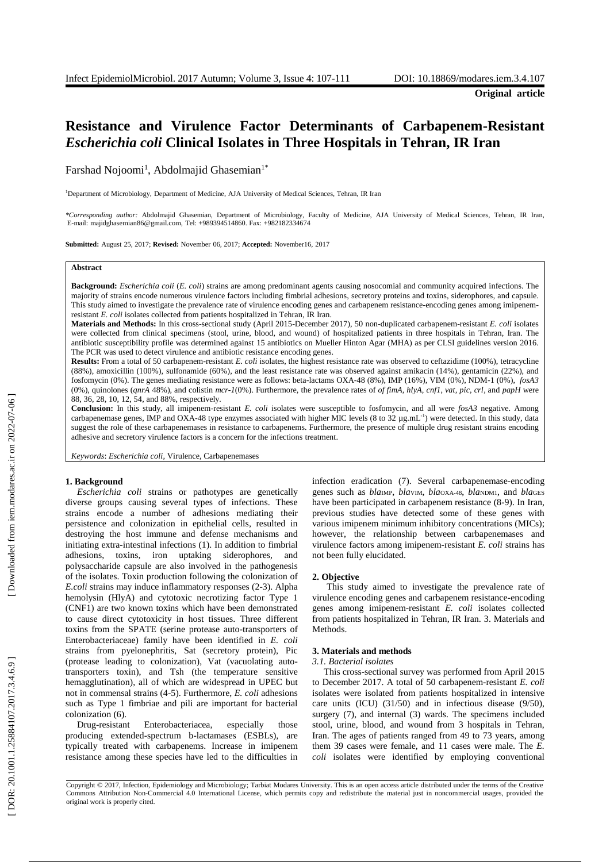# **Resistance and Virulence Factor Determinants of Carbapenem -Resistant**  *Escherichia coli* **Clinical Isolates in Three Hospitals in Tehran, IR Iran**

Farshad Nojoomi<sup>1</sup>, Abdolmajid Ghasemian<sup>1\*</sup>

<sup>1</sup>Department of Microbiology, Department of Medicine, AJA University of Medical Sciences, Tehran, IR Iran

*\*Corresponding author:* Abdolmajid Ghasemian, Department of Microbiology, Faculty of Medicine, AJA University of Medical Sciences, Tehran, IR Iran , E -mail: majidghasemian86@gmail.com, Tel: +989394514860. Fax: +982182334674

**Submitted:** August 25, 2017; **Revised:** November 06, 2017; **Accepted:** November16, 2017

# **Abstract**

Background: *Escherichia coli* (*E. coli*) strains are among predominant agents causing nosocomial and community acquired infections. The majority of strains encode numerous virulence factors including fimbrial adhesions, secretory proteins and toxins, siderophores , and capsule. This study aimed to investigate the prevalence rate of virulence encoding genes and carbapenem resistance -encoding genes among imipenem resistant *E. coli* isolates collected from patients hospitalized in Tehran, IR Iran.

Materials and Methods: In this cross-sectional study (April 2015-December 2017), 50 non-duplicated carbapenem-resistant *E. coli* isolates were collected from clinical specimens (stool, urine, blood , and wound) of hospitalized patients in three hospitals in Tehran, Iran. The antibiotic susceptibility profile was determined against 15 antibiotics on Mueller Hinton Agar (MHA) as per CLSI guidelines version 201 6. The PCR was used to detect virulence and antibiotic resistance encoding genes.

Results: From a total of 50 carbapenem-resistant *E. coli* isolates, the highest resistance rate was observed to ceftazidime (100%), tetracycline (88%), amoxicillin (100%), sulfonamide (60%), and the least resistance rate was observed against amikacin (14%), gentamicin (22%), and fosfomycin (0%). The genes mediating resistance were as follows: beta-lactams OXA-48 (8%), IMP (16%), VIM (0%), NDM-1 (0%), fosA3 (0%), quinolones (*qnrA* 48 % ) , and colistin *mcr - 1*(0%). Furthermore, the prevalence rates of *of fimA, hlyA, cnf1, vat, pic, crl ,* and *papH* were 88, 36, 28, 10, 12, 54 , and 88%, respectively*.* 

Conclusion: In this study, all imipenem-resistant *E. coli* isolates were susceptible to fosfomycin, and all were *fosA3* negative. Among carbapenemase genes, IMP and OXA-48 type enzymes associated with higher MIC levels (8 to 32  $\mu$ g.mL<sup>-1</sup>) were detected. In this study, data suggest the role of these carbapenemases in resistance to carbapenems. Furthermore, the presence of multiple drug resistant strains encoding adhesive and secretory virulence factors is a concern for the infections treatment.

*Keywords*: *Escherichia coli*, Virulence, Carbapenemases

## **1. Background**

*Escherichia coli* strains or pathotypes are genetically diverse group s causing several types of infections. These strains encode a number of adhesions mediating their persistence and colonization in epithelial cells, resulted in destroying the host immune and defense mechanisms and initiating extra -intestinal infections ( 1 ). In addition to fimbrial adhesions, toxins, iron uptaking siderophores , and polysaccharide capsule are also involved in the pathogenesis of the isolates. Toxin production following the colonization of E.coli strains may induce inflammatory responses (2-3). Alpha hemolysin (HlyA) and cytotoxic necrotizing factor Type 1 (CNF1) are two known toxins which have been demonstrated to cause direct cytotoxicity in host tissue s. Three different toxins from the SPATE (serine protease auto -transporters of Enterobacteriaceae) family have been identified in *E. coli* strains from pyelonephritis, Sat (secretory protein), Pic (protease leading to colonization) , Vat (vacuolating auto transporters toxin) , and Tsh (the temperature sensitive hemagglutination) , all of which are widespread in UPEC but not in commensal strains ( 4 - 5 ) . Furthermore, *E. coli* adhesions such as Type 1 fimbriae and pili are important for bacterial colonization ( 6 ).

Drug-resistant Enterobacteriacea, especially those producing extended -spectrum b -lactamases (ESBLs) , are typically treated with carbapenems. Increase in imipenem resistance among these species have led to the difficulties in

infection eradication ( 7 ) . Several carbapenemase -encoding genes such as *bla*<sub>IMP</sub>, *bla*<sub>VIM</sub>, *bla*<sub>OXA-48</sub>, *bla*<sub>NDM1</sub>, and *bla*<sub>GES</sub> have been participated in carbapenem resistance (8-9). In Iran, previous studies have detected some of these genes with various imipenem minimum inhibitory concentrations (MICs ) ; however, the relationship between carbapenemases and virulence factors among imipenem -resistant *E. coli* strains has not been fully elucidated.

# **2. Objective**

This study aimed to investigate the prevalence rate of virulence encoding genes and carbapenem resistance -encoding genes among imipenem -resistant *E. coli* isolates collected from patients hospitalized in Tehran, IR Iran. 3. Materials and Methods .

#### **3. Materials and methods**

## *3.1. Bacterial isolates*

This cross -sectional survey was performed from April 2015 to December 2017. A total of 50 carbapenem -resistant *E. coli* isolates were isolated from patients hospitalized in intensive care units (ICU) (31/50) and in infectious disease (9/50), surgery (7), and internal (3) wards. The specimens included stool, urine, blood , and wound from 3 hospitals in Tehran, Iran. The age s of patients ranged from 49 to 73 years, among them 39 cases were female , and 11 cases were male. The *E. coli* isolates were identified by employing conventional

Copyright © 2017, Infection, Epidemiology and Microbiology; Tarbiat Modares University. This is an open access article distributed under the terms of the Creative Commons Attribution Non -Commercial 4.0 International License, which permits copy and redistribute the material just in noncommercial usages, provided the original work is properly cited .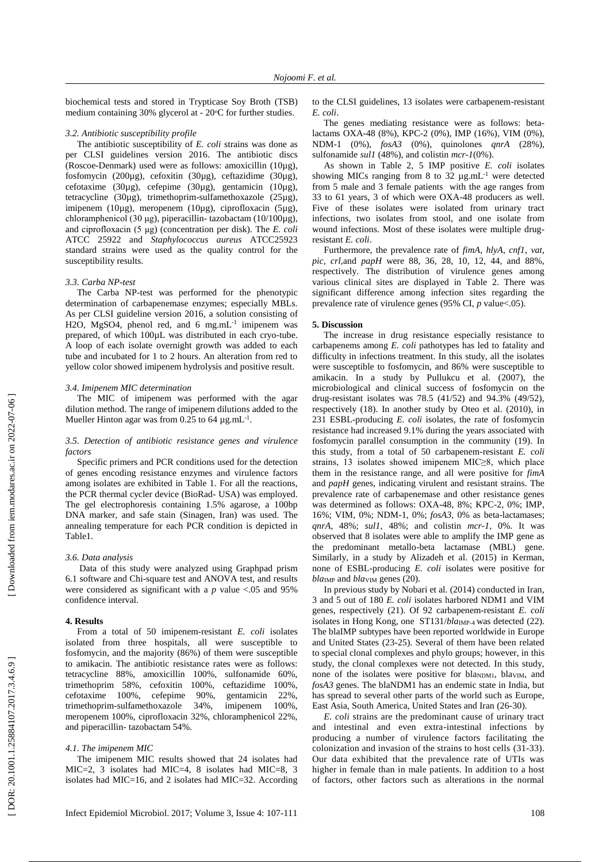biochemical tests and stored in Trypticase Soy Broth (TSB) medium containing 30% glycerol at - 20°C for further studies.

## *3.2. Antibiotic susceptibility profile*

The antibiotic susceptibility of *E. coli* strains was done as per CLSI guidelines version 2016. The antibiotic discs (Roscoe -Denmark) used were as follows: amoxicillin (10 µg), fosfomycin (200 µ g), cefoxitin (30µg), ceftazidime (30µg), cefotaxime (30µg), cefepime (30µg), gentamicin (10µg), tetracycline (30µg), trimethoprim -sulfamethoxazole (25µg), imipenem (10µg), meropenem (10µg), ciprofloxacin (5µg), chloramphenicol (30 μg), piperacillin- tazobactam (10/100μg), and ciprofloxacin (5 μg) (concentration per disk). The *E. coli* ATCC 25922 and *Staphylococcus aureus* ATCC25923 standard strains were used as the quality control for the susceptibility results .

## *3.3. Carba NP -test*

The Carba NP -test was performed for the phenotypic determination of carbapenemase enzymes; especially MBLs. As per CLSI guideline version 2016 , a solution consisting of H2O, MgSO4, phenol red, and 6 mg.mL<sup>-1</sup> imipenem was prepared, of which 100µL was distributed in each cryo-tube. A loop of each isolate overnight growth was added to each tube and incubated for 1 to 2 hours. An alteration from red to yellow color showed imipenem hydrolysis and positive result.

# *3.4. Imipenem MIC determination*

The MIC of imipenem was performed with the agar dilution method. The range of imipenem dilutions added to the Mueller Hinton agar was from 0.25 to 64  $\mu$ g.mL<sup>-1</sup>.

# *3.5. Detection of antibiotic resistance genes and virulence factors*

Specific primers and PCR conditions used for the detection of genes encoding resistance enzymes and virulence factors among isolates are exhibited in Table 1. For all the reactions, the PCR thermal cycler device (BioRad - USA) was employed. The gel electrophoresis containing 1.5% agarose, a 100bp DNA marker , and safe stain (Sinagen, Iran) was used. The annealing temperature for each PCR condition is depicted in Table1.

# *3.6. Data analysis*

Data of this study were analyzed using Graphpad prism 6.1 software and Chi -square test and ANOVA test, and results were considered as significant with a *p* value <.05 and 95% confidence interval.

# **4. Results**

From a total of 50 imipenem -resistant *E. coli* isolates isolated from three hospitals, all were susceptible to fosfomycin, and the majority (86%) of them were susceptible to amikacin. The antibiotic resistance rates were as follows: tetracycline 88%, amoxicillin 100%, sulfonamide 60%, trimethoprim 58%, cefoxitin 100%, ceftazidime 100%, cefotaxime 100%, cefepime 90%, gentamicin 22%, trimethoprim -sulfamethoxazole 34%, imipenem 100%, meropenem 100%, ciprofloxacin 32%, chloramphenicol 22%, and piperacillin - tazobactam 54%.

## *4.1. The imipenem MIC*

The imipenem MIC results showed that 24 isolates had MIC=2, 3 isolates had MIC=4, 8 isolates had MIC=8, 3 isolates had MIC=16, and 2 isolates had MIC=32. According

to the CLSI guidelines, 13 isolates were carbapenem -resistant *E. coli*.

The genes mediating resistance were as follows: betalactams OXA -48 (8%), KPC -2 (0%), IMP (16%), VIM (0%), NDM -1 (0%), *fosA3* (0%), quinolones *qnrA* (28%), sulfonamide *sul1* (48%), and colistin *mcr - 1*(0%).

As shown in Table 2, 5 IMP positive *E. coli* isolates showing MICs ranging from 8 to  $32 \mu g.mL^{-1}$  were detected from 5 male and 3 female patients with the age ranges from 33 to 61 years, 3 of which were OXA -48 producers as well. Five of these isolates were isolated from urinary tract infections, two isolates from stool, and one isolate from wound infections. Most of these isolates were multiple drug resistant *E. coli*.

Furthermore, the prevalence rate of *fimA*, *hlyA*, *cnf1*, *vat*, *pic, crl,*and *papH* were 88, 36, 28, 10, 12, 44, and 88%, respectively. The distribution of virulence genes among various clinical sites are displayed in Table 2. There was significant difference among infection sites regarding the prevalence rate of virulence genes (95% CI, *p* value<.05).

## **5. Discussion**

The increase in drug resistance especially resistance to carbapenems among *E. coli* pathotypes has led to fatality and difficulty in infections treatment. In this study, all the isolates were susceptible to fosfomycin, and 86% were susceptible to amikacin. In a study by Pullukcu et al. (2007), the microbiological and clinical success of fosfomycin on the drug -resistant isolates was 78.5 (41/52) and 94.3% (49/52), respectively (18 ). In another study by Oteo et al. (2010), in 231 ESBL -producing *E. coli* isolates, the rate of fosfomycin resistance had increased 9.1% during the years associated with fosfomycin parallel consumption in the community (19 ). In this study, from a total of 50 carbapenem -resistant *E. coli* strains, 13 isolates showed imipenem MIC≥8, which place them in the resistance range, and all were positive for *fimA* and *papH* genes, indicating virulent and resistant strains. The prevalence rate of carbapenemase and other resistance genes was determined as follows: OXA -48, 8%; KPC -2, 0%; IMP, 16%; VIM, 0%; NDM -1, 0%; *fosA3,* 0% as beta -lactamases; *qnrA,* 48%; *sul1*, 48%; and colistin *mcr -1,* 0%. It was observed that 8 isolates were able to amplify the IMP gene as the predominant metallo -beta lactamase (MBL) gene. Similarly, in a study by Alizadeh et al. (2015) in Kerman, none of ESBL -producing *E. coli* isolates were positive for  $bla<sub>IMP</sub>$  and  $bla<sub>VIM</sub>$  genes (20).

In previous study by Nobari et al. (2014) conducted in Iran, 3 and 5 out of 180 *E. coli* isolates harbored NDM1 and VIM genes, respectively (21 ). Of 92 carbapenem -resistant *E. coli* isolates in Hong Kong, one ST131/bla<sub>IMP-4</sub> was detected (22). The blaIMP subtypes have been reported worldwide in Europe and United States (23 -25 ). Several of them have been related to special clonal complexes and phylo groups; however, in this study, the clonal complexes were not detected. In this study, none of the isolates were positive for blaNDM1, blaVIM, and *fosA3* genes. The blaNDM1 has an endemic state in India, but has spread to several other parts of the world such as Europe, East Asia, South America, United States and Iran (26-30).

*E. coli* strains are the predominant cause of urinary tract and intestinal and even extra -intestinal infections by producing a number of virulence factors facilitating the colonization and invasion of the strains to host cells (31 -33 ). Our data exhibited that the prevalence rate of UTIs was higher in female than in male patients. In addition to a host of factors, other factors such as alterations in the normal

Downloaded from iem.modares.ac.ir on 2022-07-06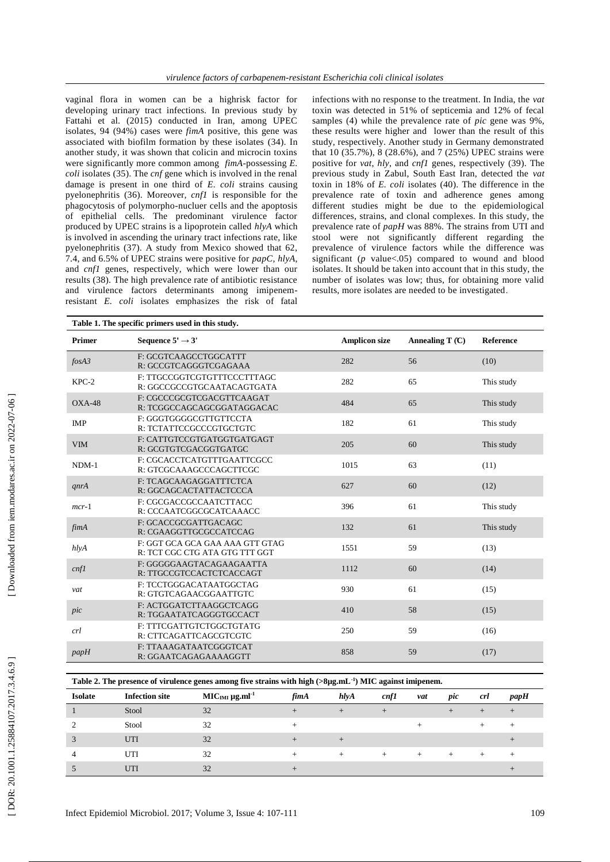vaginal flora in women can be a highrisk factor for developing urinary tract infections. In previous study by Fattahi et al. (2015) conducted in Iran, among UPEC isolates, 94 (94%) cases were *fimA* positive, this gene was associated with biofilm formation by these isolates (34 ). In another study, it was shown that colicin and microcin toxins were significantly more common among *fimA* -possessing *E. coli* isolates (35 ). The *cnf* gene which is involved in the renal damage is present in one third of *E. coli* strains causing pyelonephritis (36 ). Moreover, *cnf1* is responsible for the phagocytosis of polymorpho -nucluer cells and the apoptosis of epithelial cells. The predominant virulence factor produced by UPEC strains is a lipoprotein called *hlyA* which is involved in ascending the urinary tract infections rate, like pyelonephritis (37 ). A study from Mexico showed that 62, 7.4, and 6.5% of UPEC strains were positive for *papC*, *hlyA*, and *cnf1* genes, respectively, which were lower than our results (38 ). The high prevalence rate of antibiotic resistance and virulence factors determinants among imipenem resistant *E. coli* isolates emphasizes the risk of fatal

infections with no response to the treatment. In India, the *vat* toxin was detected in 51% of septicemia and 12% of fecal samples ( 4 ) while the prevalence rate of *pic* gene was 9%, these results were higher and lower than the result of this study, respectively. Another study in Germany demonstrated that 10 (35.7%), 8 (28.6%), and 7 (25%) UPEC strains were positive for *vat*, *hly*, and *cnf1* genes, respectively (39 ). The previous study in Zabul, South East Iran, detected the *vat* toxin in 18% of *E. coli* isolates (40 ). The difference in the prevalence rate of toxin and adherence genes among different studies might be due to the epidemiological differences, strains, and clonal complexes. In this study, the prevalence rate of *papH* was 88%. The strains from UTI and stool were not significantly different regarding the prevalence of virulence factors while the difference was significant  $(p \text{ value} < .05)$  compared to wound and blood isolates. It should be taken into account that in this study, the number of isolates was low; thus, for obtaining more valid results, more isolates are needed to be investigated .

| Table 1. The specific primers used in this study. |                                                                   |                      |                  |                  |  |  |  |
|---------------------------------------------------|-------------------------------------------------------------------|----------------------|------------------|------------------|--|--|--|
| Primer                                            | Sequence $5' \rightarrow 3'$                                      | <b>Amplicon size</b> | Annealing $T(C)$ | <b>Reference</b> |  |  |  |
| $f$ os $A$ 3                                      | F: GCGTCAAGCCTGGCATTT<br>R: GCCGTCAGGGTCGAGAAA                    | 282                  | 56               | (10)             |  |  |  |
| $KPC-2$                                           | F: TTGCCGGTCGTGTTTCCCTTTAGC<br>R: GGCCGCCGTGCAATACAGTGATA         | 282                  | 65               | This study       |  |  |  |
| $OXA-48$                                          | F: CGCCCGCGTCGACGTTCAAGAT<br>R: TCGGCCAGCAGCGGATAGGACAC           | 484                  | 65               | This study       |  |  |  |
| <b>IMP</b>                                        | F: GGGTGGGGCGTTGTTCCTA<br>R: TCTATTCCGCCCGTGCTGTC                 | 182                  | 61               | This study       |  |  |  |
| <b>VIM</b>                                        | F: CATTGTCCGTGATGGTGATGAGT<br>R: GCGTGTCGACGGTGATGC               | 205                  | 60               | This study       |  |  |  |
| $NDM-1$                                           | F: CGCACCTCATGTTTGAATTCGCC<br>R: GTCGCAAAGCCCAGCTTCGC             | 1015                 | 63               | (11)             |  |  |  |
| qnrA                                              | F: TCAGCAAGAGGATTTCTCA<br>R: GGCAGCACTATTACTCCCA                  | 627                  | 60               | (12)             |  |  |  |
| $mcr-1$                                           | F: CGCGACCGCCAATCTTACC<br>R: CCCAATCGGCGCATCAAACC                 | 396                  | 61               | This study       |  |  |  |
| fimA                                              | F: GCACCGCGATTGACAGC<br>R: CGAAGGTTGCGCCATCCAG                    | 132                  | 61               | This study       |  |  |  |
| $h$ lyA                                           | F: GGT GCA GCA GAA AAA GTT GTAG<br>R: TCT CGC CTG ATA GTG TTT GGT | 1551                 | 59               | (13)             |  |  |  |
| cnf1                                              | F: GGGGGAAGTACAGAAGAATTA<br>R: TTGCCGTCCACTCTCACCAGT              | 1112                 | 60               | (14)             |  |  |  |
| vat                                               | F: TCCTGGGACATAATGGCTAG<br>R: GTGTCAGAACGGAATTGTC                 | 930                  | 61               | (15)             |  |  |  |
| pic                                               | F: ACTGGATCTTAAGGCTCAGG<br>R: TGGAATATCAGGGTGCCACT                | 410                  | 58               | (15)             |  |  |  |
| crl                                               | F: TTTCGATTGTCTGGCTGTATG<br>R: CTTCAGATTCAGCGTCGTC                | 250                  | 59               | (16)             |  |  |  |
| papH                                              | F: TTAAAGATAATCGGGTCAT<br>R: GGAATCAGAGAAAAGGTT                   | 858                  | 59               | (17)             |  |  |  |

| Table 2. The presence of virulence genes among five strains with high $(>\mathcal{S}\mu\mathbf{g.mL^{-1}})$ MIC against imipenem. |  |  |
|-----------------------------------------------------------------------------------------------------------------------------------|--|--|
|                                                                                                                                   |  |  |

| <b>Isolate</b> | <b>Infection site</b> | $MICIMI \mu g.ml-1$ | fimA | h l y A | cnf1 | vat    | pic  | crl | papH   |
|----------------|-----------------------|---------------------|------|---------|------|--------|------|-----|--------|
|                | Stool                 | 32                  |      | $+$     |      |        | $^+$ |     |        |
|                | Stool                 | 32                  |      |         |      |        |      |     | $\div$ |
| 3              | UTI                   | 32                  |      |         |      |        |      |     |        |
| 4              | UTI                   | 32                  |      |         |      | $\div$ | +    |     |        |
| J              | UTI                   | 32                  |      |         |      |        |      |     |        |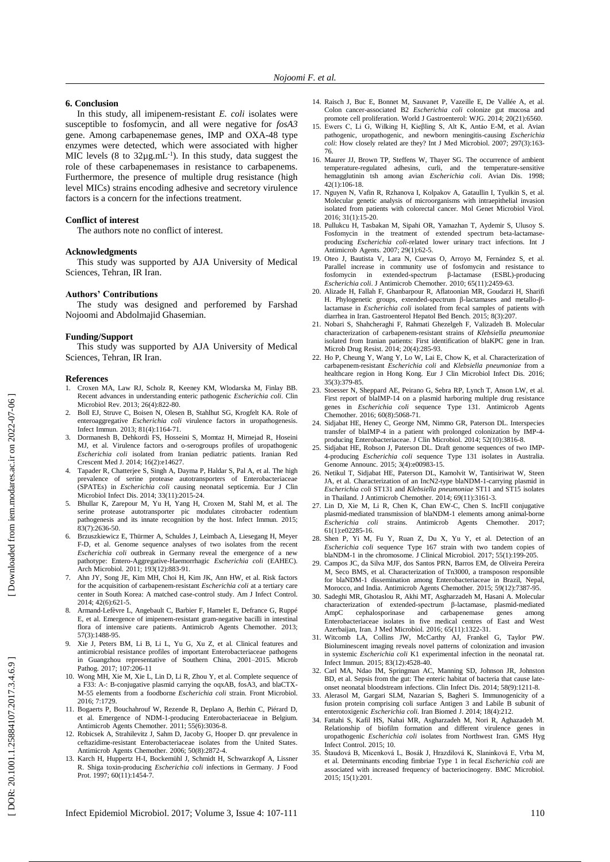## **6. Conclusion**

In this study, all imipenem -resistant *E. coli* isolates were susceptible to fosfomycin , and all were negative for *fosA3* gene. Among carbapenemase genes, IMP and OXA -48 type enzymes were detected , which were associated with higher MIC levels  $(8 \text{ to } 32\mu g.mL^{-1})$ . In this study, data suggest the role of these carbapenemases in resistance to carbapenems. Furthermore, the presence of multiple drug resistance (high level MICs) strains encoding adhesive and secretory virulence factors is a concern for the infections treatment.

#### **Conflict of interest**

The authors note no conflict of interest.

## **Acknowledgments**

This study was supported by AJA University of Medical Sciences, Tehran, IR Iran .

#### **Authors' Contributions**

The study was designed and perforemed by Farshad Nojoomi and Abdolmajid Ghasemian.

#### **Funding/Support**

This study was supported by AJA University of Medical Sciences, Tehran, IR Iran.

#### **References**

- 1. Croxen MA, Law RJ, Scholz R, Keeney KM, Wlodarska M, Finlay BB. Recent advances in understanding enteric pathogenic *Escherichia coli*. Clin Microbiol Rev. 2013; 26(4):822-80.
- 2. Boll EJ, Struve C, Boisen N, Olesen B, Stahlhut SG, Krogfelt KA. Role of enteroaggregative *Escherichia coli* virulence factors in uropathogenesis. Infect Immun. 2013; 81(4):1164 -71.
- 3. Dormanesh B, Dehkordi FS, Hosseini S, Momtaz H, Mirnejad R, Hoseini MJ, et al. Virulence factors and o -serogroups profiles of uropathogenic *Escherichia coli* isolated from Iranian pediatric patients. Iranian Red Crescent Med J. 2014; 16(2):e14627 .
- Tapader R, Chatterjee S, Singh A, Dayma P, Haldar S, Pal A, et al. The high prevalence of serine protease autotransporters of Enterobacteriaceae (SPATEs) in *Escherichia coli* causing neonatal septicemia. Eur J Clin Microbiol Infect Dis. 2014; 33(11):2015 -24.
- 5. Bhullar K, Zarepour M, Yu H, Yang H, Croxen M, Stahl M, et al. The serine protease autotransporter pic modulates citrobacter rodentium pathogenesis and its innate recognition by the host. Infect Immun. 2015; 83(7):2636 -50.
- 6. Brzuszkiewicz E, Thürmer A, Schuldes J, Leimbach A, Liesegang H, Meyer F-D, et al. Genome sequence analyses of two isolates from the recent *Escherichia coli* outbreak in Germany reveal the emergence of a new pathotype: Entero -Aggregative -Haemorrhagic *Escherichia coli* (EAHEC). Arch Microbiol. 2011; 193(12):883 -91.
- 7. Ahn JY, Song JE, Kim MH, Choi H, Kim JK, Ann HW, et al. Risk factors for the acquisition of carbapenem -resistant *Escherichia coli* at a tertiary care center in South Korea: A matched case -control study. Am J Infect Control. 2014; 42(6):621 -5.
- 8. Armand -Lefèvre L, Angebault C, Barbier F, Hamelet E, Defrance G, Ruppé E, et al. Emergence of imipenem -resistant gram -negative bacilli in intestinal flora of intensive care patients. Antimicrob Agents Chemother. 2013; 57(3):1488 -95.
- 9. Xie J, Peters BM, Li B, Li L, Yu G, Xu Z, et al. Clinical features and antimicrobial resistance profiles of important Enterobacteriaceae pathogens in Guangzhou representative of Southern China, 2001 –2015. Microb Pathog. 2017; 107:206-11
- 10. Wong MH, Xie M, Xie L, Lin D, Li R, Zhou Y, et al. Complete sequence of a F33: A-: B-conjugative plasmid carrying the oqxAB, fosA3, and blaCTX-M -55 elements from a foodborne *Escherichia coli* strain. Front Microbiol. 2016; 7:1729 .
- 11. Bogaerts P, Bouchahrouf W, Rezende R, Deplano A, Berhin C, Piérard D, et al. Emergence of NDM - 1 -producing Enterobacteriaceae in Belgium. Antimicrob Agents Chemother. 2011; 55(6):3036-8.
- 12. Robicsek A, Strahilevitz J, Sahm D, Jacoby G, Hooper D. qnr prevalence in ceftazidime -resistant Enterobacteriaceae isolates from the United States. Antimicrob Agents Chemother. 2006; 50(8):2872 -4.
- 13. Karch H, Huppertz H -I, Bockemühl J, Schmidt H, Schwarzkopf A, Lissner R. Shiga toxin -producing *Escherichia coli* infections in Germany. J Food Prot. 1997; 60(11):1454-7.
- 14. Raisch J, Buc E, Bonnet M, Sauvanet P, Vazeille E, De Vallée A, et al. Colon cancer -associated B2 *Escherichia coli* colonize gut mucosa and promote cell proliferation. World J Gastroenterol: WJG. 2014; 20(21):6560.
- 15. Ewers C, Li G, Wilking H, Kieβling S, Alt K, Antáo E -M, et al. Avian pathogenic, uropathogenic, and newborn meningitis -causing *Escherichia*  coli: How closely related are they? Int J Med Microbiol. 2007; 297(3):163-76.
- 16. Maurer JJ, Brown TP, Steffens W, Thayer SG. The occurrence of ambient temperature -regulated adhesins, curli, and the temperature -sensitive hemagglutinin tsh among avian *Escherichia coli*. Avian Dis. 1998; 42(1):106 -18.
- 17. Nguyen N, Vafin R, Rzhanova I, Kolpakov A, Gataullin I, Tyulkin S, et al. Molecular genetic analysis of microorganisms with intraepithelial invasion isolated from patients with colorectal cancer. Mol Genet Microbiol Virol. 2016; 31(1):15 -20.
- 18. Pullukcu H, Tasbakan M, Sipahi OR, Yamazhan T, Aydemir S, Ulusoy S. Fosfomycin in the treatment of extended spectrum beta-lactamaseproducing *Escherichia coli-*related lower urinary tract infections. Int J Antimicrob Agents. 2007; 29(1):62 -5.
- 19. Oteo J, Bautista V, Lara N, Cuevas O, Arroyo M, Fernández S, et al. Parallel increase in community use of fosfomycin and resistance to fosfomycin in extended -spectrum β -lactamase (ESBL) -producing Escherichia coli. J Antimicrob Chemother. 2010; 65(11):2459-63.
- 20. Alizade H, Fallah F, Ghanbarpour R, Aflatoonian MR, Goudarzi H, Sharifi H. Phylogenetic groups, extended-spectrum β-lactamases and metallo-βlactamase in *Escherichia coli* isolated from fecal samples of patients with diarrhea in Iran. Gastroenterol Hepatol Bed Bench. 2015; 8(3):207.
- 21. Nobari S, Shahcheraghi F, Rahmati Ghezelgeh F, Valizadeh B. Molecular characterization of carbapenem -resistant strains of *Klebsiella pneumoniae* isolated from Iranian patients: First identification of blaKPC gene in Iran. Microb Drug Resist. 2014; 20(4):285 -93.
- 22. Ho P, Cheung Y, Wang Y, Lo W, Lai E, Chow K, et al. Characterization of carbapenem -resistant *Escherichia coli* and *Klebsiella pneumoniae* from a healthcare region in Hong Kong. Eur J Clin Microbiol Infect Dis. 2016; 35(3):379 -85.
- 23. Stoesser N, Sheppard AE, Peirano G, Sebra RP, Lynch T, Anson LW, et al. First report of blaIMP-14 on a plasmid harboring multiple drug resistance genes in *Escherichia coli* sequence Type 131. Antimicrob Agents Chemother. 2016; 60(8):5068 -71.
- 24. Sidjabat HE, Heney C, George NM, Nimmo GR, Paterson DL. Interspecies transfer of blaIMP-4 in a patient with prolonged colonization by IMP-4producing Enterobacteriaceae. J Clin Microbiol. 2014; 52(10):3816-8.
- 25. Sidjabat HE, Robson J, Paterson DL. Draft genome sequences of two IMP 4 -producing *Escherichia coli* sequence Type 131 isolates in Australia. Genome Announc. 2015; 3(4):e00983 -15.
- 26. Netikul T, Sidjabat HE, Paterson DL, Kamolvit W, Tantisiriwat W, Steen JA, et al. Characterization of an IncN2-type blaNDM-1-carrying plasmid in *Escherichia coli* ST131 and *Klebsiella pneumoniae* ST11 and ST15 isolates in Thailand. J Antimicrob Chemother. 2014; 69(11):3161-3.
- 27. Lin D, Xie M, Li R, Chen K, Chan EW -C, Chen S. IncFII conjugative plasmid - mediated transmission of blaNDM -1 elements among animal - borne *Escherichia coli*  strains. Antimicrob Agents Chemother. 2017; 61(1):e02285 -16.
- 28. Shen P, Yi M, Fu Y, Ruan Z, Du X, Yu Y, et al. Detection of an Escherichia coli sequence Type 167 strain with two tandem copies of blaNDM-1 in the chromosome. J Clinical Microbiol. 2017; 55(1):199-205.
- 29. Campos JC, da Silva MJF, dos Santos PRN, Barros EM, de Oliveira Pereira M, Seco BMS, et al. Characterization of Tn3000, a transposon responsible for blaNDM -1 dissemination among Enterobacteriaceae in Brazil, Nepal, Morocco, and India. Antimicrob Agents Chemother. 2015; 59(12):7387 -95.
- 30. Sadeghi MR, Ghotaslou R, Akhi MT, Asgharzadeh M, Hasani A. Molecular characterization of extended -spectrum β -lactamase, plasmid - mediated AmpC cephalosporinase and carbapenemase genes among Enterobacteriaceae isolates in five medical centres of East and West Azerbaijan, Iran. J Med Microbiol. 2016; 65(11):1322 -31.
- Witcomb LA, Collins JW, McCarthy AJ, Frankel G, Taylor PW. Bioluminescent imaging reveals novel patterns of colonization and invasion in systemic *Escherichia coli* K1 experimental infection in the neonatal rat. Infect Immun. 2015; 83(12):4528 -40.
- 32. Carl MA, Ndao IM, Springman AC, Manning SD, Johnson JR, Johnston BD, et al. Sepsis from the gut: The enteric habitat of bacteria that cause late onset neonatal bloodstream infections. Clin Infect Dis. 2014; 58(9):1211-8.
- 33. Alerasol M, Gargari SLM, Nazarian S, Bagheri S. Immunogenicity of a fusion protein comprising coli surface Antigen 3 and Labile B subunit of enterotoxigenic *Escherichia coli.* Iran Biomed J. 2014; 18(4):212.
- 34. Fattahi S, Kafil HS, Nahai MR, Asgharzadeh M, Nori R, Aghazadeh M. Relationship of biofilm formation and different virulence genes in uropathogenic *Escherichia coli* isolates from Northwest Iran. GMS Hyg Infect Control. 2015; 10.
- 35. Štaudová B, Micenková L, Bosák J, Hrazdilová K, Slaninková E, Vrba M, et al. Determinants encoding fimbriae Type 1 in fecal *Escherichia coli* are associated with increased frequency of bacteriocinogeny. BMC Microbiol. 2015; 15(1):201.